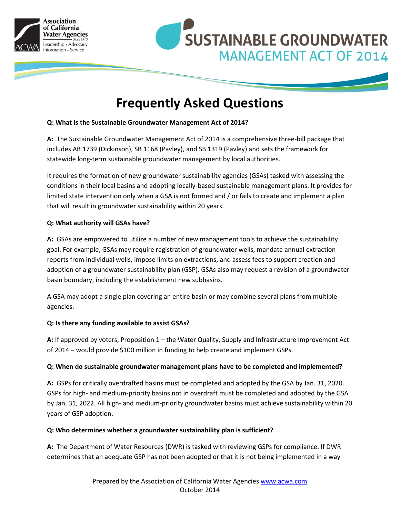



# **Frequently Asked Questions**

# **Q: What is the Sustainable Groundwater Management Act of 2014?**

**A:** The Sustainable Groundwater Management Act of 2014 is a comprehensive three-bill package that includes AB 1739 (Dickinson), SB 1168 (Pavley), and SB 1319 (Pavley) and sets the framework for statewide long-term sustainable groundwater management by local authorities.

It requires the formation of new groundwater sustainability agencies (GSAs) tasked with assessing the conditions in their local basins and adopting locally-based sustainable management plans. It provides for limited state intervention only when a GSA is not formed and / or fails to create and implement a plan that will result in groundwater sustainability within 20 years.

# **Q: What authority will GSAs have?**

**A:** GSAs are empowered to utilize a number of new management tools to achieve the sustainability goal. For example, GSAs may require registration of groundwater wells, mandate annual extraction reports from individual wells, impose limits on extractions, and assess fees to support creation and adoption of a groundwater sustainability plan (GSP). GSAs also may request a revision of a groundwater basin boundary, including the establishment new subbasins.

A GSA may adopt a single plan covering an entire basin or may combine several plans from multiple agencies.

## **Q: Is there any funding available to assist GSAs?**

**A:** If approved by voters, Proposition 1 – the Water Quality, Supply and Infrastructure Improvement Act of 2014 – would provide \$100 million in funding to help create and implement GSPs.

## **Q: When do sustainable groundwater management plans have to be completed and implemented?**

**A:** GSPs for critically overdrafted basins must be completed and adopted by the GSA by Jan. 31, 2020. GSPs for high- and medium-priority basins not in overdraft must be completed and adopted by the GSA by Jan. 31, 2022. All high- and medium-priority groundwater basins must achieve sustainability within 20 years of GSP adoption.

## **Q: Who determines whether a groundwater sustainability plan is sufficient?**

**A:** The Department of Water Resources (DWR) is tasked with reviewing GSPs for compliance. If DWR determines that an adequate GSP has not been adopted or that it is not being implemented in a way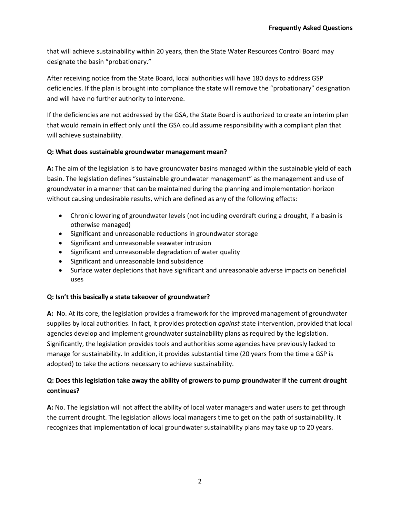that will achieve sustainability within 20 years, then the State Water Resources Control Board may designate the basin "probationary."

After receiving notice from the State Board, local authorities will have 180 days to address GSP deficiencies. If the plan is brought into compliance the state will remove the "probationary" designation and will have no further authority to intervene.

If the deficiencies are not addressed by the GSA, the State Board is authorized to create an interim plan that would remain in effect only until the GSA could assume responsibility with a compliant plan that will achieve sustainability.

# **Q: What does sustainable groundwater management mean?**

**A:** The aim of the legislation is to have groundwater basins managed within the sustainable yield of each basin. The legislation defines "sustainable groundwater management" as the management and use of groundwater in a manner that can be maintained during the planning and implementation horizon without causing undesirable results, which are defined as any of the following effects:

- Chronic lowering of groundwater levels (not including overdraft during a drought, if a basin is otherwise managed)
- Significant and unreasonable reductions in groundwater storage
- Significant and unreasonable seawater intrusion
- Significant and unreasonable degradation of water quality
- Significant and unreasonable land subsidence
- Surface water depletions that have significant and unreasonable adverse impacts on beneficial uses

# **Q: Isn't this basically a state takeover of groundwater?**

**A:** No. At its core, the legislation provides a framework for the improved management of groundwater supplies by local authorities. In fact, it provides protection *against* state intervention, provided that local agencies develop and implement groundwater sustainability plans as required by the legislation. Significantly, the legislation provides tools and authorities some agencies have previously lacked to manage for sustainability. In addition, it provides substantial time (20 years from the time a GSP is adopted) to take the actions necessary to achieve sustainability.

# **Q: Does this legislation take away the ability of growers to pump groundwater if the current drought continues?**

**A:** No. The legislation will not affect the ability of local water managers and water users to get through the current drought. The legislation allows local managers time to get on the path of sustainability. It recognizes that implementation of local groundwater sustainability plans may take up to 20 years.